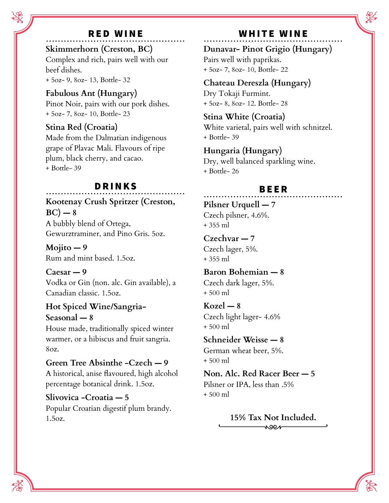# ßßßßßßßßßßßßßßßßßßßßßßßßßßßßßßßßßßßßßßßßßßßßßßß RED WINE

**Skimmerhorn (Creston, BC)** Complex and rich, pairs well with our beef dishes. + 5oz- 9, 8oz- 13, Bottle- 32

**Fabulous Ant (Hungary)** Pinot Noir, pairs with our pork dishes. + 5oz- 7, 8oz- 10, Bottle- 23

**Stina Red (Croatia)** Made from the Dalmatian indigenous grape of Plavac Mali. Flavours of ripe plum, black cherry, and cacao. + Bottle- 39

## $BRINKS$

**Kootenay Crush Spritzer (Creston,**  $BC$ ) — 8 A bubbly blend of Ortega, Gewurztraminer, and Pino Gris. 5oz.

**Mojito — 9** Rum and mint based. 1.5oz.

**Caesar — 9** Vodka or Gin (non. alc. Gin available), a Canadian classic. 1.5oz.

### **Hot Spiced Wine/Sangria-**

**Seasonal — 8** House made, traditionally spiced winter warmer, or a hibiscus and fruit sangria. 8oz.

### **Green Tree Absinthe -Czech — 9**

A historical, anise flavoured, high alcohol percentage botanical drink. 1.5oz.

**Slivovica -Croatia — 5** Popular Croatian digestif plum brandy. 1.5oz.

### WHITE WINE

**Dunavar- Pinot Grigio (Hungary)** Pairs well with paprikas. + 5oz- 7, 8oz- 10, Bottle- 22

## **Chateau Dereszla (Hungary)**

Dry Tokaji Furmint. + 5oz- 8, 8oz- 12. Bottle- 28

#### **Stina White (Croatia)**

White varietal, pairs well with schnitzel. + Bottle- 39

#### **Hungaria (Hungary)**

Dry, well balanced sparkling wine. + Bottle- 26

#### ßßßßßßßßßßßßßßßßßßßßßßßßßßßßßßßßßßßßßßßßßßßßßßß BEER

**Pilsner Urquell — 7** Czech pilsner, 4.6%. + 355 ml

**Czechvar — 7** Czech lager, 5%. + 355 ml

**Baron Bohemian — 8** Czech dark lager, 5%. + 500 ml

**Kozel — 8** Czech light lager- 4.6% + 500 ml

**Schneider Weisse — 8** German wheat beer, 5%. + 500 ml

**Non. Alc. Red Racer Beer — 5** Pilsner or IPA, less than .5% + 500 ml

> **15% Tax Not Included.**noer